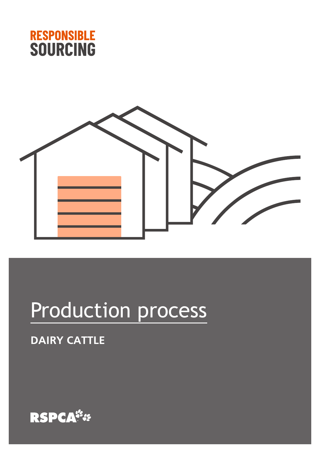



# Production process

### **DAIRY CATTLE**

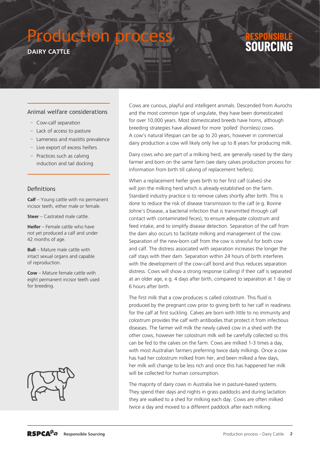### roduction

**DAIRY CATTLE** 

# SOHRAI

### Animal welfare considerations

- Cow-calf separation
- Lack of access to pasture
- Lameness and mastitis prevalence
- Live export of excess heifers
- Practices such as calving induction and tail docking

#### Definitions

**Calf** – Young cattle with no permanent incisor teeth, either male or female.

**Steer** – Castrated male cattle.

**Heifer** – Female cattle who have not yet produced a calf and under 42 months of age.

**Bull** – Mature male cattle with intact sexual organs and capable of reproduction.

**Cow** – Mature female cattle with eight permanent incisor teeth used for breeding.



Cows are curious, playful and intelligent animals. Descended from Aurochs and the most common type of ungulate, they have been domesticated for over 10,000 years. Most domesticated breeds have horns, although breeding strategies have allowed for more 'polled' (hornless) cows. A cow's natural lifespan can be up to 20 years, however in commercial dairy production a cow will likely only live up to 8 years for producing milk.

Dairy cows who are part of a milking herd, are generally raised by the dairy farmer and born on the same farm (see dairy calves production process for information from birth till calving of replacement heifers).

When a replacement heifer gives birth to her first calf (calves) she will join the milking herd which is already established on the farm. Standard industry practice is to remove calves shortly after birth. This is done to reduce the risk of disease transmission to the calf (e.g. Bovine Johne's Disease, a bacterial infection that is transmitted through calf contact with contaminated feces), to ensure adequate colostrum and feed intake, and to simplify disease detection. Separation of the calf from the dam also occurs to facilitate milking and management of the cow. Separation of the new-born calf from the cow is stressful for both cow and calf. The distress associated with separation increases the longer the calf stays with their dam. Separation within 24 hours of birth interferes with the development of the cow-calf bond and thus reduces separation distress. Cows will show a strong response (calling) if their calf is separated at an older age, e.g. 4 days after birth, compared to separation at 1 day or 6 hours after birth.

The first milk that a cow produces is called colostrum. This fluid is produced by the pregnant cow prior to giving birth to her calf in readiness for the calf at first suckling. Calves are born with little to no immunity and colostrum provides the calf with antibodies that protect it from infectious diseases. The farmer will milk the newly calved cow in a shed with the other cows, however her colostrum milk will be carefully collected so this can be fed to the calves on the farm. Cows are milked 1-3 times a day, with most Australian farmers preferring twice daily milkings. Once a cow has had her colostrum milked from her, and been milked a few days, her milk will change to be less rich and once this has happened her milk will be collected for human consumption.

The majority of dairy cows in Australia live in pasture-based systems. They spend their days and nights in grass paddocks and during lactation they are walked to a shed for milking each day. Cows are often milked twice a day and moved to a different paddock after each milking.